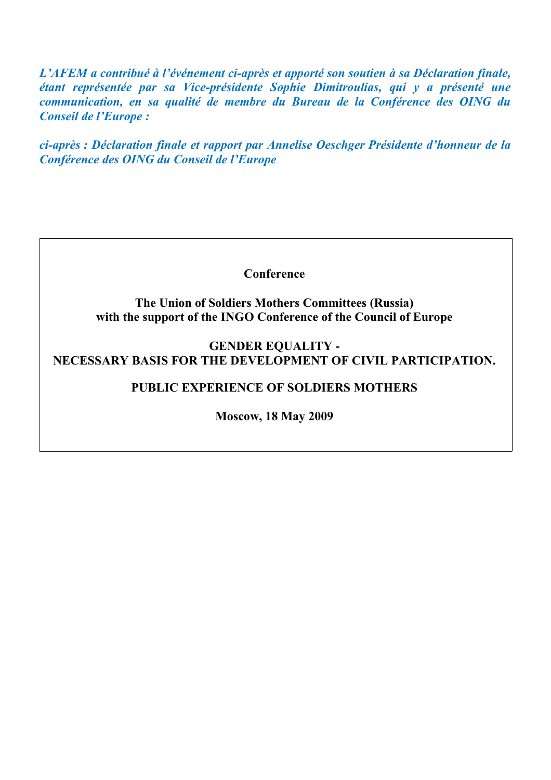*L'AFEM a contribué à l'événement ci-après et apporté son soutien à sa Déclaration finale, étant représentée par sa Vice-présidente Sophie Dimitroulias, qui y a présenté une communication, en sa qualité de membre du Bureau de la Conférence des OING du Conseil de l'Europe :*

*ci-après : Déclaration finale et rapport par Annelise Oeschger Présidente d'honneur de la Conférence des OING du Conseil de l'Europe*

**Conference**

**The Union of Soldiers Mothers Committees (Russia) with the support of the INGO Conference of the Council of Europe**

**GENDER EQUALITY - NECESSARY BASIS FOR THE DEVELOPMENT OF CIVIL PARTICIPATION.**

# **PUBLIC EXPERIENCE OF SOLDIERS MOTHERS**

**Moscow, 18 May 2009**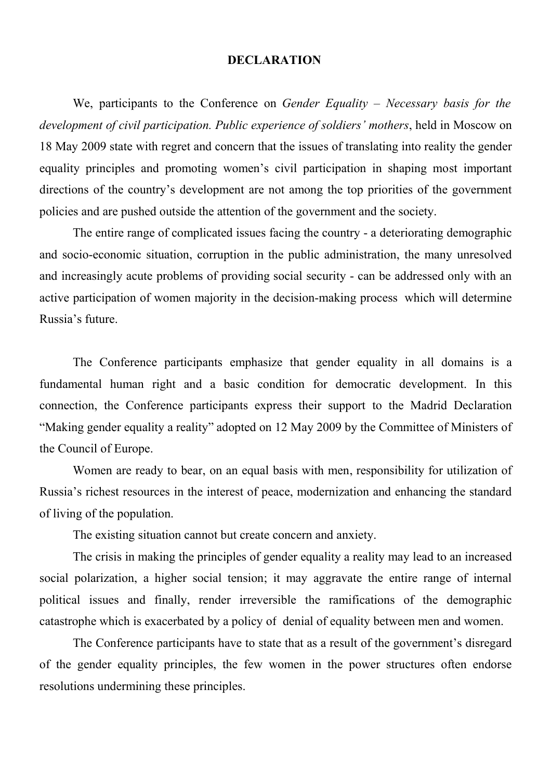# **DECLARATION**

We, participants to the Conference on *Gender Equality – Necessary basis for the development of civil participation. Public experience of soldiers' mothers*, held in Moscow on 18 May 2009 state with regret and concern that the issues of translating into reality the gender equality principles and promoting women's civil participation in shaping most important directions of the country's development are not among the top priorities of the government policies and are pushed outside the attention of the government and the society.

The entire range of complicated issues facing the country - a deteriorating demographic and socio-economic situation, corruption in the public administration, the many unresolved and increasingly acute problems of providing social security - can be addressed only with an active participation of women majority in the decision-making process which will determine Russia's future.

The Conference participants emphasize that gender equality in all domains is a fundamental human right and a basic condition for democratic development. In this connection, the Conference participants express their support to the Madrid Declaration "Making gender equality a reality" adopted on 12 May 2009 by the Committee of Ministers of the Council of Europe.

Women are ready to bear, on an equal basis with men, responsibility for utilization of Russia's richest resources in the interest of peace, modernization and enhancing the standard of living of the population.

The existing situation cannot but create concern and anxiety.

The crisis in making the principles of gender equality a reality may lead to an increased social polarization, a higher social tension; it may aggravate the entire range of internal political issues and finally, render irreversible the ramifications of the demographic catastrophe which is exacerbated by a policy of denial of equality between men and women.

The Conference participants have to state that as a result of the government's disregard of the gender equality principles, the few women in the power structures often endorse resolutions undermining these principles.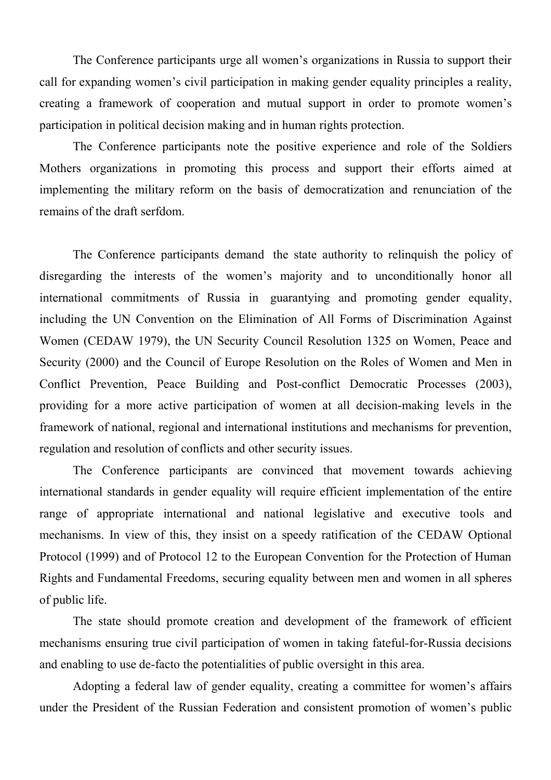The Conference participants urge all women's organizations in Russia to support their call for expanding women's civil participation in making gender equality principles a reality, creating a framework of cooperation and mutual support in order to promote women's participation in political decision making and in human rights protection.

The Conference participants note the positive experience and role of the Soldiers Mothers organizations in promoting this process and support their efforts aimed at implementing the military reform on the basis of democratization and renunciation of the remains of the draft serfdom.

The Conference participants demand the state authority to relinquish the policy of disregarding the interests of the women's majority and to unconditionally honor all international commitments of Russia in guarantying and promoting gender equality, including the UN Convention on the Elimination of All Forms of Discrimination Against Women (CEDAW 1979), the UN Security Council Resolution 1325 on Women, Peace and Security (2000) and the Council of Europe Resolution on the Roles of Women and Men in Conflict Prevention, Peace Building and Post-conflict Democratic Processes (2003), providing for a more active participation of women at all decision-making levels in the framework of national, regional and international institutions and mechanisms for prevention, regulation and resolution of conflicts and other security issues.

The Conference participants are convinced that movement towards achieving international standards in gender equality will require efficient implementation of the entire range of appropriate international and national legislative and executive tools and mechanisms. In view of this, they insist on a speedy ratification of the CEDAW Optional Protocol (1999) and of Protocol 12 to the European Convention for the Protection of Human Rights and Fundamental Freedoms, securing equality between men and women in all spheres of public life.

The state should promote creation and development of the framework of efficient mechanisms ensuring true civil participation of women in taking fateful-for-Russia decisions and enabling to use de-facto the potentialities of public oversight in this area.

Adopting a federal law of gender equality, creating a committee for women's affairs under the President of the Russian Federation and consistent promotion of women's public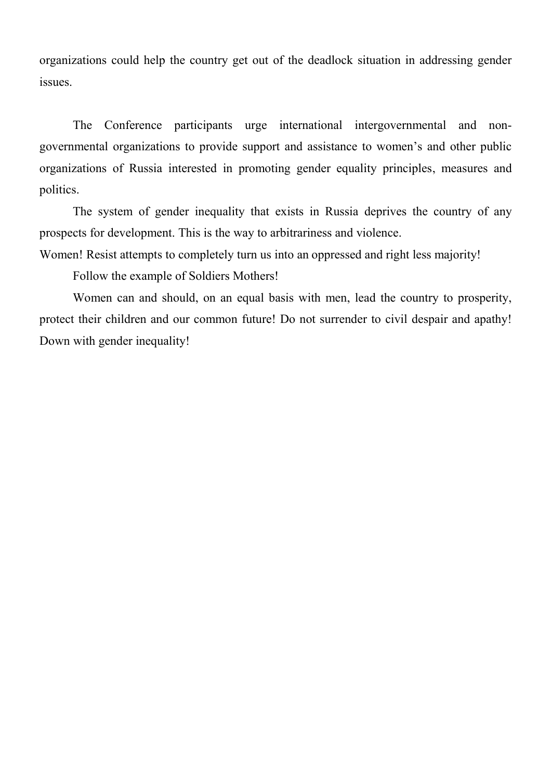organizations could help the country get out of the deadlock situation in addressing gender issues.

The Conference participants urge international intergovernmental and nongovernmental organizations to provide support and assistance to women's and other public organizations of Russia interested in promoting gender equality principles, measures and politics.

The system of gender inequality that exists in Russia deprives the country of any prospects for development. This is the way to arbitrariness and violence.

Women! Resist attempts to completely turn us into an oppressed and right less majority!

Follow the example of Soldiers Mothers!

Women can and should, on an equal basis with men, lead the country to prosperity, protect their children and our common future! Do not surrender to civil despair and apathy! Down with gender inequality!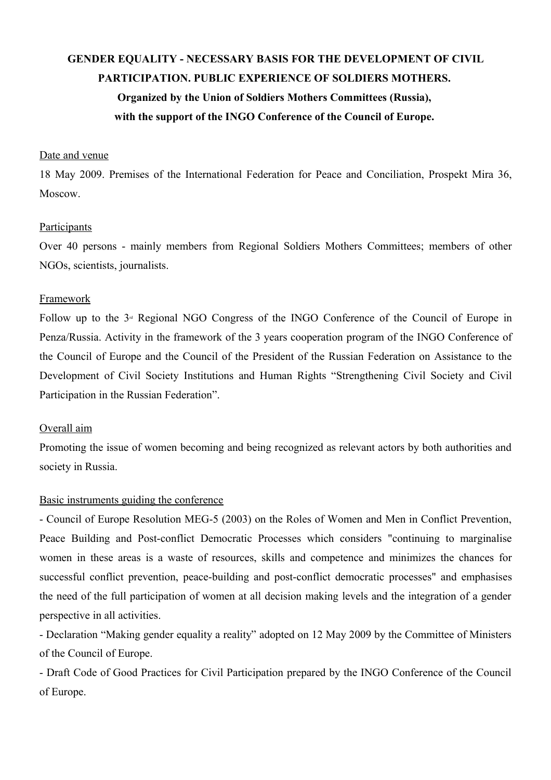# **GENDER EQUALITY - NECESSARY BASIS FOR THE DEVELOPMENT OF CIVIL PARTICIPATION. PUBLIC EXPERIENCE OF SOLDIERS MOTHERS. Organized by the Union of Soldiers Mothers Committees (Russia), with the support of the INGO Conference of the Council of Europe.**

# Date and venue

18 May 2009. Premises of the International Federation for Peace and Conciliation, Prospekt Mira 36, Moscow.

#### **Participants**

Over 40 persons - mainly members from Regional Soldiers Mothers Committees; members of other NGOs, scientists, journalists.

# Framework

Follow up to the  $3<sup>d</sup>$  Regional NGO Congress of the INGO Conference of the Council of Europe in Penza/Russia. Activity in the framework of the 3 years cooperation program of the INGO Conference of the Council of Europe and the Council of the President of the Russian Federation on Assistance to the Development of Civil Society Institutions and Human Rights "Strengthening Civil Society and Civil Participation in the Russian Federation".

#### Overall aim

Promoting the issue of women becoming and being recognized as relevant actors by both authorities and society in Russia.

#### Basic instruments guiding the conference

- Council of Europe Resolution MEG-5 (2003) on the Roles of Women and Men in Conflict Prevention, Peace Building and Post-conflict Democratic Processes which considers "continuing to marginalise women in these areas is a waste of resources, skills and competence and minimizes the chances for successful conflict prevention, peace-building and post-conflict democratic processes" and emphasises the need of the full participation of women at all decision making levels and the integration of a gender perspective in all activities.

- Declaration "Making gender equality a reality" adopted on 12 May 2009 by the Committee of Ministers of the Council of Europe.

- Draft Code of Good Practices for Civil Participation prepared by the INGO Conference of the Council of Europe.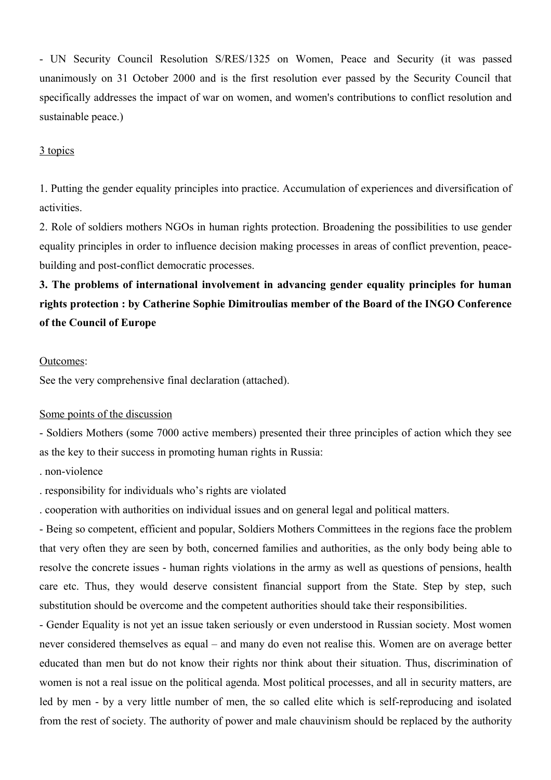- UN Security Council Resolution S/RES/1325 on Women, Peace and Security (it was passed unanimously on 31 October 2000 and is the first resolution ever passed by the Security Council that specifically addresses the impact of war on women, and women's contributions to conflict resolution and sustainable peace.)

# 3 topics

1. Putting the gender equality principles into practice. Accumulation of experiences and diversification of activities.

2. Role of soldiers mothers NGOs in human rights protection. Broadening the possibilities to use gender equality principles in order to influence decision making processes in areas of conflict prevention, peacebuilding and post-conflict democratic processes.

**3. The problems of international involvement in advancing gender equality principles for human rights protection : by Catherine Sophie Dimitroulias member of the Board of the INGO Conference of the Council of Europe**

#### Outcomes:

See the very comprehensive final declaration (attached).

#### Some points of the discussion

- Soldiers Mothers (some 7000 active members) presented their three principles of action which they see as the key to their success in promoting human rights in Russia:

- . non-violence
- . responsibility for individuals who's rights are violated

. cooperation with authorities on individual issues and on general legal and political matters.

- Being so competent, efficient and popular, Soldiers Mothers Committees in the regions face the problem that very often they are seen by both, concerned families and authorities, as the only body being able to resolve the concrete issues - human rights violations in the army as well as questions of pensions, health care etc. Thus, they would deserve consistent financial support from the State. Step by step, such substitution should be overcome and the competent authorities should take their responsibilities.

- Gender Equality is not yet an issue taken seriously or even understood in Russian society. Most women never considered themselves as equal – and many do even not realise this. Women are on average better educated than men but do not know their rights nor think about their situation. Thus, discrimination of women is not a real issue on the political agenda. Most political processes, and all in security matters, are led by men - by a very little number of men, the so called elite which is self-reproducing and isolated from the rest of society. The authority of power and male chauvinism should be replaced by the authority